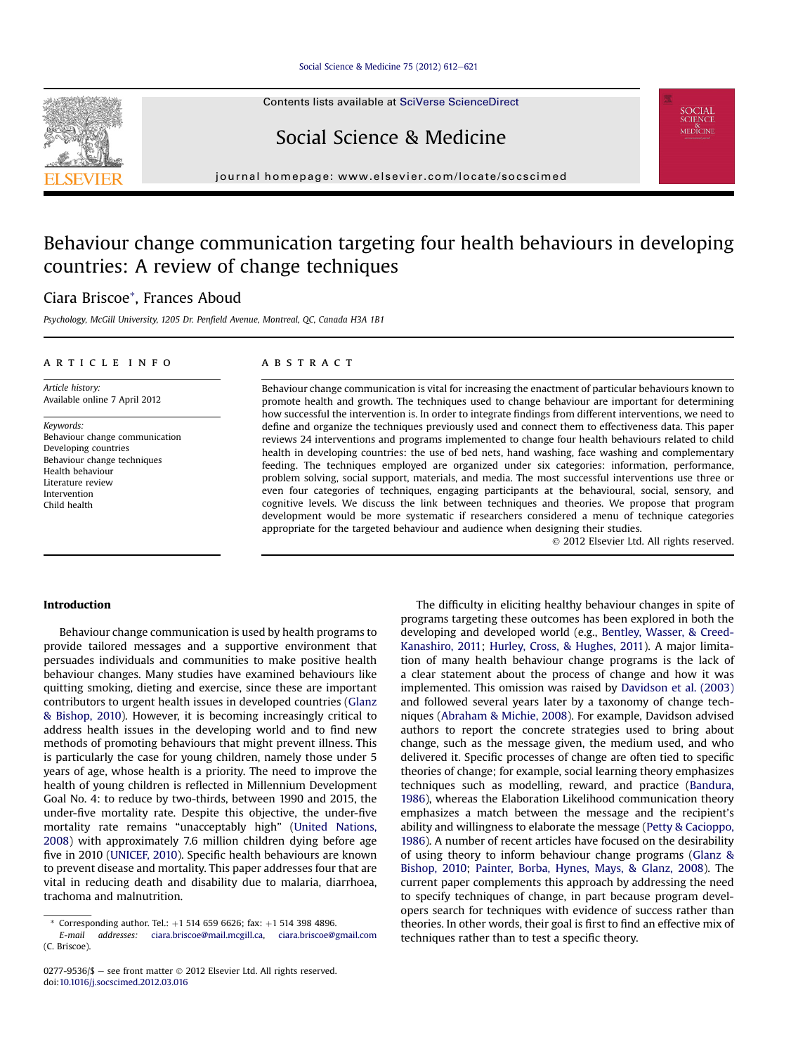#### [Social Science & Medicine 75 \(2012\) 612](http://dx.doi.org/10.1016/j.socscimed.2012.03.016)-[621](http://dx.doi.org/10.1016/j.socscimed.2012.03.016)

Contents lists available at [SciVerse ScienceDirect](www.sciencedirect.com/science/journal/02779536)



## Social Science & Medicine

journal homepage: [www.elsevier.com/locate/socscimed](http://www.elsevier.com/locate/socscimed)

### Behaviour change communication targeting four health behaviours in developing countries: A review of change techniques

### Ciara Briscoe\*, Frances Aboud

Psychology, McGill University, 1205 Dr. Penfield Avenue, Montreal, QC, Canada H3A 1B1

#### article info

Article history: Available online 7 April 2012

Keywords: Behaviour change communication Developing countries Behaviour change techniques Health behaviour Literature review Intervention Child health

#### **ABSTRACT**

Behaviour change communication is vital for increasing the enactment of particular behaviours known to promote health and growth. The techniques used to change behaviour are important for determining how successful the intervention is. In order to integrate findings from different interventions, we need to define and organize the techniques previously used and connect them to effectiveness data. This paper reviews 24 interventions and programs implemented to change four health behaviours related to child health in developing countries: the use of bed nets, hand washing, face washing and complementary feeding. The techniques employed are organized under six categories: information, performance, problem solving, social support, materials, and media. The most successful interventions use three or even four categories of techniques, engaging participants at the behavioural, social, sensory, and cognitive levels. We discuss the link between techniques and theories. We propose that program development would be more systematic if researchers considered a menu of technique categories appropriate for the targeted behaviour and audience when designing their studies.

2012 Elsevier Ltd. All rights reserved.

### Introduction

Behaviour change communication is used by health programs to provide tailored messages and a supportive environment that persuades individuals and communities to make positive health behaviour changes. Many studies have examined behaviours like quitting smoking, dieting and exercise, since these are important contributors to urgent health issues in developed countries (Glanz & Bishop, 2010). However, it is becoming increasingly critical to address health issues in the developing world and to find new methods of promoting behaviours that might prevent illness. This is particularly the case for young children, namely those under 5 years of age, whose health is a priority. The need to improve the health of young children is reflected in Millennium Development Goal No. 4: to reduce by two-thirds, between 1990 and 2015, the under-five mortality rate. Despite this objective, the under-five mortality rate remains "unacceptably high" (United Nations, 2008) with approximately 7.6 million children dying before age five in 2010 (UNICEF, 2010). Specific health behaviours are known to prevent disease and mortality. This paper addresses four that are vital in reducing death and disability due to malaria, diarrhoea, trachoma and malnutrition.

The difficulty in eliciting healthy behaviour changes in spite of programs targeting these outcomes has been explored in both the developing and developed world (e.g., Bentley, Wasser, & Creed-Kanashiro, 2011; Hurley, Cross, & Hughes, 2011). A major limitation of many health behaviour change programs is the lack of a clear statement about the process of change and how it was implemented. This omission was raised by Davidson et al. (2003) and followed several years later by a taxonomy of change techniques (Abraham & Michie, 2008). For example, Davidson advised authors to report the concrete strategies used to bring about change, such as the message given, the medium used, and who delivered it. Specific processes of change are often tied to specific theories of change; for example, social learning theory emphasizes techniques such as modelling, reward, and practice (Bandura, 1986), whereas the Elaboration Likelihood communication theory emphasizes a match between the message and the recipient's ability and willingness to elaborate the message (Petty & Cacioppo, 1986). A number of recent articles have focused on the desirability of using theory to inform behaviour change programs (Glanz & Bishop, 2010; Painter, Borba, Hynes, Mays, & Glanz, 2008). The current paper complements this approach by addressing the need to specify techniques of change, in part because program developers search for techniques with evidence of success rather than theories. In other words, their goal is first to find an effective mix of techniques rather than to test a specific theory.

<sup>\*</sup> Corresponding author. Tel.:  $+1$  514 659 6626; fax:  $+1$  514 398 4896.

E-mail addresses: [ciara.briscoe@mail.mcgill.ca](mailto:ciara.briscoe@mail.mcgill.ca), [ciara.briscoe@gmail.com](mailto:ciara.briscoe@gmail.com) (C. Briscoe).

<sup>0277-9536/\$ -</sup> see front matter  $\odot$  2012 Elsevier Ltd. All rights reserved. doi:[10.1016/j.socscimed.2012.03.016](http://dx.doi.org/10.1016/j.socscimed.2012.03.016)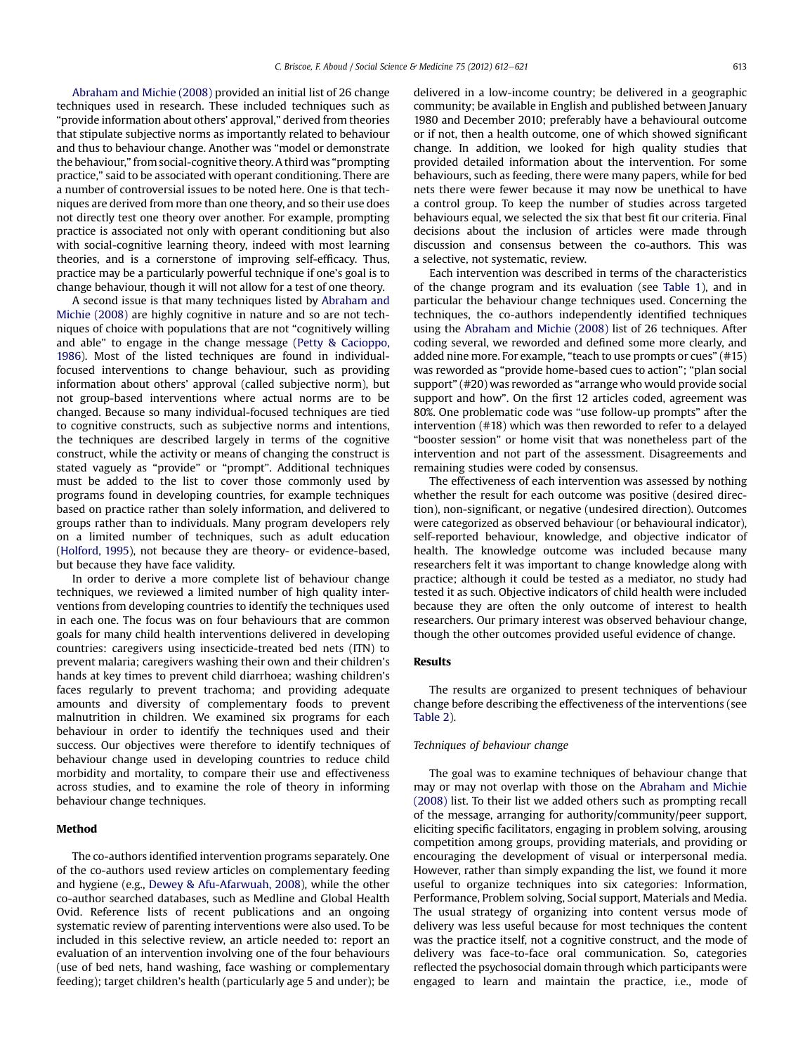Abraham and Michie (2008) provided an initial list of 26 change techniques used in research. These included techniques such as "provide information about others' approval," derived from theories that stipulate subjective norms as importantly related to behaviour and thus to behaviour change. Another was "model or demonstrate the behaviour," from social-cognitive theory. A third was "prompting practice," said to be associated with operant conditioning. There are a number of controversial issues to be noted here. One is that techniques are derived from more than one theory, and so their use does not directly test one theory over another. For example, prompting practice is associated not only with operant conditioning but also with social-cognitive learning theory, indeed with most learning theories, and is a cornerstone of improving self-efficacy. Thus, practice may be a particularly powerful technique if one's goal is to change behaviour, though it will not allow for a test of one theory.

A second issue is that many techniques listed by Abraham and Michie (2008) are highly cognitive in nature and so are not techniques of choice with populations that are not "cognitively willing and able" to engage in the change message (Petty & Cacioppo, 1986). Most of the listed techniques are found in individualfocused interventions to change behaviour, such as providing information about others' approval (called subjective norm), but not group-based interventions where actual norms are to be changed. Because so many individual-focused techniques are tied to cognitive constructs, such as subjective norms and intentions, the techniques are described largely in terms of the cognitive construct, while the activity or means of changing the construct is stated vaguely as "provide" or "prompt". Additional techniques must be added to the list to cover those commonly used by programs found in developing countries, for example techniques based on practice rather than solely information, and delivered to groups rather than to individuals. Many program developers rely on a limited number of techniques, such as adult education (Holford, 1995), not because they are theory- or evidence-based, but because they have face validity.

In order to derive a more complete list of behaviour change techniques, we reviewed a limited number of high quality interventions from developing countries to identify the techniques used in each one. The focus was on four behaviours that are common goals for many child health interventions delivered in developing countries: caregivers using insecticide-treated bed nets (ITN) to prevent malaria; caregivers washing their own and their children's hands at key times to prevent child diarrhoea; washing children's faces regularly to prevent trachoma; and providing adequate amounts and diversity of complementary foods to prevent malnutrition in children. We examined six programs for each behaviour in order to identify the techniques used and their success. Our objectives were therefore to identify techniques of behaviour change used in developing countries to reduce child morbidity and mortality, to compare their use and effectiveness across studies, and to examine the role of theory in informing behaviour change techniques.

#### Method

The co-authors identified intervention programs separately. One of the co-authors used review articles on complementary feeding and hygiene (e.g., Dewey & Afu-Afarwuah, 2008), while the other co-author searched databases, such as Medline and Global Health Ovid. Reference lists of recent publications and an ongoing systematic review of parenting interventions were also used. To be included in this selective review, an article needed to: report an evaluation of an intervention involving one of the four behaviours (use of bed nets, hand washing, face washing or complementary feeding); target children's health (particularly age 5 and under); be delivered in a low-income country; be delivered in a geographic community; be available in English and published between January 1980 and December 2010; preferably have a behavioural outcome or if not, then a health outcome, one of which showed significant change. In addition, we looked for high quality studies that provided detailed information about the intervention. For some behaviours, such as feeding, there were many papers, while for bed nets there were fewer because it may now be unethical to have a control group. To keep the number of studies across targeted behaviours equal, we selected the six that best fit our criteria. Final decisions about the inclusion of articles were made through discussion and consensus between the co-authors. This was a selective, not systematic, review.

Each intervention was described in terms of the characteristics of the change program and its evaluation (see Table 1), and in particular the behaviour change techniques used. Concerning the techniques, the co-authors independently identified techniques using the Abraham and Michie (2008) list of 26 techniques. After coding several, we reworded and defined some more clearly, and added nine more. For example, "teach to use prompts or cues" (#15) was reworded as "provide home-based cues to action"; "plan social support" (#20) was reworded as "arrange who would provide social support and how". On the first 12 articles coded, agreement was 80%. One problematic code was "use follow-up prompts" after the intervention (#18) which was then reworded to refer to a delayed "booster session" or home visit that was nonetheless part of the intervention and not part of the assessment. Disagreements and remaining studies were coded by consensus.

The effectiveness of each intervention was assessed by nothing whether the result for each outcome was positive (desired direction), non-significant, or negative (undesired direction). Outcomes were categorized as observed behaviour (or behavioural indicator), self-reported behaviour, knowledge, and objective indicator of health. The knowledge outcome was included because many researchers felt it was important to change knowledge along with practice; although it could be tested as a mediator, no study had tested it as such. Objective indicators of child health were included because they are often the only outcome of interest to health researchers. Our primary interest was observed behaviour change, though the other outcomes provided useful evidence of change.

#### Results

The results are organized to present techniques of behaviour change before describing the effectiveness of the interventions (see Table 2).

#### Techniques of behaviour change

The goal was to examine techniques of behaviour change that may or may not overlap with those on the Abraham and Michie (2008) list. To their list we added others such as prompting recall of the message, arranging for authority/community/peer support, eliciting specific facilitators, engaging in problem solving, arousing competition among groups, providing materials, and providing or encouraging the development of visual or interpersonal media. However, rather than simply expanding the list, we found it more useful to organize techniques into six categories: Information, Performance, Problem solving, Social support, Materials and Media. The usual strategy of organizing into content versus mode of delivery was less useful because for most techniques the content was the practice itself, not a cognitive construct, and the mode of delivery was face-to-face oral communication. So, categories reflected the psychosocial domain through which participants were engaged to learn and maintain the practice, i.e., mode of